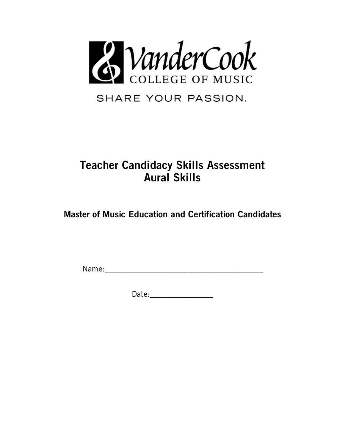

SHARE YOUR PASSION.

## **Teacher Candidacy Skills Assessment Aural Skills**

**Master of Music Education and Certification Candidates**

Name:\_\_\_\_\_\_\_\_\_\_\_\_\_\_\_\_\_\_\_\_\_\_\_\_\_\_\_\_\_\_\_\_\_\_\_\_\_\_\_\_

Date:\_\_\_\_\_\_\_\_\_\_\_\_\_\_\_\_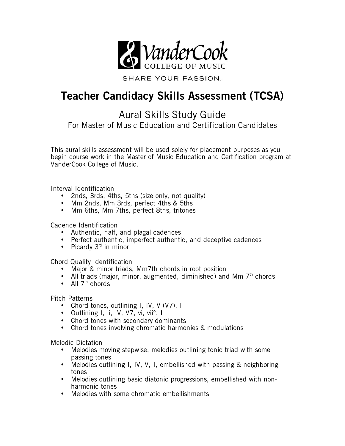

SHARE YOUR PASSION.

## **Teacher Candidacy Skills Assessment (TCSA)**

Aural Skills Study Guide

For Master of Music Education and Certification Candidates

This aural skills assessment will be used solely for placement purposes as you begin course work in the Master of Music Education and Certification program at VanderCook College of Music.

Interval Identification

- 2nds, 3rds, 4ths, 5ths (size only, not quality)
- Mm 2nds, Mm 3rds, perfect 4ths & 5ths
- Mm 6ths, Mm 7ths, perfect 8ths, tritones

Cadence Identification

- Authentic, half, and plagal cadences
- Perfect authentic, imperfect authentic, and deceptive cadences
- Picardy  $3<sup>rd</sup>$  in minor

Chord Quality Identification

- Major & minor triads, Mm7th chords in root position
- All triads (major, minor, augmented, diminished) and Mm  $7<sup>th</sup>$  chords
- All  $7<sup>th</sup>$  chords

Pitch Patterns

- Chord tones, outlining I, IV, V (V7), I
- Outlining I, ii, IV, V7, vi, vii°, I
- Chord tones with secondary dominants
- Chord tones involving chromatic harmonies & modulations

Melodic Dictation

- Melodies moving stepwise, melodies outlining tonic triad with some passing tones
- Melodies outlining I, IV, V, I, embellished with passing & neighboring tones
- Melodies outlining basic diatonic progressions, embellished with nonharmonic tones
- Melodies with some chromatic embellishments